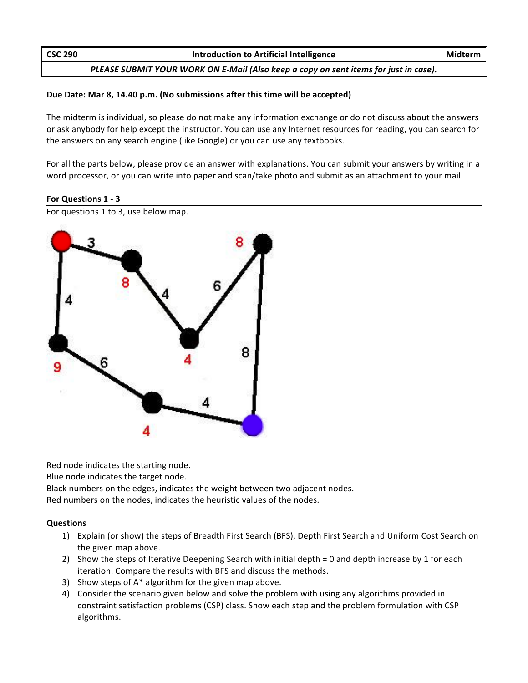| <b>CSC 290</b> | Introduction to Artificial Intelligence                                              | Midterm |
|----------------|--------------------------------------------------------------------------------------|---------|
|                | PLEASE SUBMIT YOUR WORK ON E-Mail (Also keep a copy on sent items for just in case). |         |

## Due Date: Mar 8, 14.40 p.m. (No submissions after this time will be accepted)

The midterm is individual, so please do not make any information exchange or do not discuss about the answers or ask anybody for help except the instructor. You can use any Internet resources for reading, you can search for the answers on any search engine (like Google) or you can use any textbooks.

For all the parts below, please provide an answer with explanations. You can submit your answers by writing in a word processor, or you can write into paper and scan/take photo and submit as an attachment to your mail.

## **For Questions 1 - 3**

For questions 1 to 3, use below map.



Red node indicates the starting node.

Blue node indicates the target node.

Black numbers on the edges, indicates the weight between two adjacent nodes. Red numbers on the nodes, indicates the heuristic values of the nodes.

## **Questions**

- 1) Explain (or show) the steps of Breadth First Search (BFS), Depth First Search and Uniform Cost Search on the given map above.
- 2) Show the steps of Iterative Deepening Search with initial depth = 0 and depth increase by 1 for each iteration. Compare the results with BFS and discuss the methods.
- 3) Show steps of  $A^*$  algorithm for the given map above.
- 4) Consider the scenario given below and solve the problem with using any algorithms provided in constraint satisfaction problems (CSP) class. Show each step and the problem formulation with CSP algorithms.